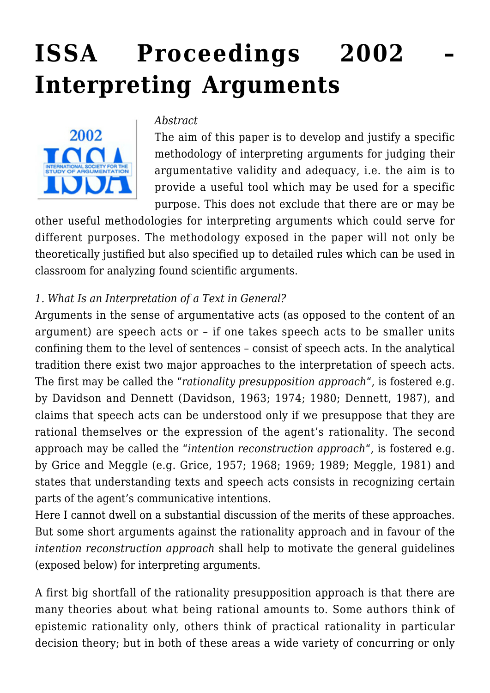# **[ISSA Proceedings 2002 –](https://rozenbergquarterly.com/issa-proceedings-2002-interpreting-arguments/) [Interpreting Arguments](https://rozenbergquarterly.com/issa-proceedings-2002-interpreting-arguments/)**



*Abstract*

The aim of this paper is to develop and justify a specific methodology of interpreting arguments for judging their argumentative validity and adequacy, i.e. the aim is to provide a useful tool which may be used for a specific purpose. This does not exclude that there are or may be

other useful methodologies for interpreting arguments which could serve for different purposes. The methodology exposed in the paper will not only be theoretically justified but also specified up to detailed rules which can be used in classroom for analyzing found scientific arguments.

## *1. What Is an Interpretation of a Text in General?*

Arguments in the sense of argumentative acts (as opposed to the content of an argument) are speech acts or – if one takes speech acts to be smaller units confining them to the level of sentences – consist of speech acts. In the analytical tradition there exist two major approaches to the interpretation of speech acts. The first may be called the "*rationality presupposition approach*", is fostered e.g. by Davidson and Dennett (Davidson, 1963; 1974; 1980; Dennett, 1987), and claims that speech acts can be understood only if we presuppose that they are rational themselves or the expression of the agent's rationality. The second approach may be called the "*intention reconstruction approach*", is fostered e.g. by Grice and Meggle (e.g. Grice, 1957; 1968; 1969; 1989; Meggle, 1981) and states that understanding texts and speech acts consists in recognizing certain parts of the agent's communicative intentions.

Here I cannot dwell on a substantial discussion of the merits of these approaches. But some short arguments against the rationality approach and in favour of the *intention reconstruction approach* shall help to motivate the general guidelines (exposed below) for interpreting arguments.

A first big shortfall of the rationality presupposition approach is that there are many theories about what being rational amounts to. Some authors think of epistemic rationality only, others think of practical rationality in particular decision theory; but in both of these areas a wide variety of concurring or only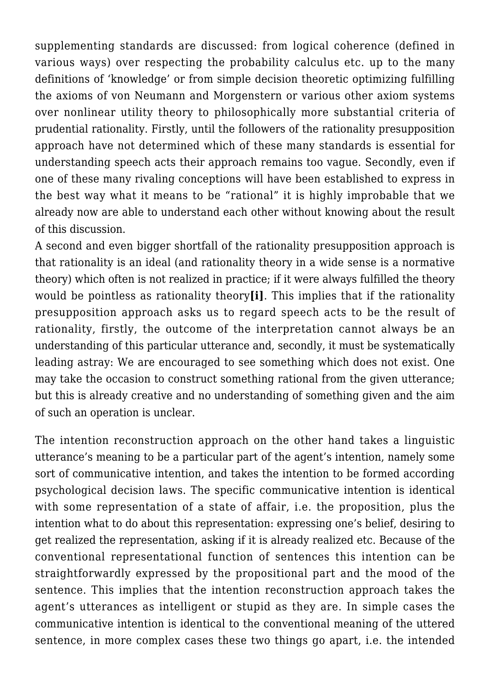supplementing standards are discussed: from logical coherence (defined in various ways) over respecting the probability calculus etc. up to the many definitions of 'knowledge' or from simple decision theoretic optimizing fulfilling the axioms of von Neumann and Morgenstern or various other axiom systems over nonlinear utility theory to philosophically more substantial criteria of prudential rationality. Firstly, until the followers of the rationality presupposition approach have not determined which of these many standards is essential for understanding speech acts their approach remains too vague. Secondly, even if one of these many rivaling conceptions will have been established to express in the best way what it means to be "rational" it is highly improbable that we already now are able to understand each other without knowing about the result of this discussion.

A second and even bigger shortfall of the rationality presupposition approach is that rationality is an ideal (and rationality theory in a wide sense is a normative theory) which often is not realized in practice; if it were always fulfilled the theory would be pointless as rationality theory**[i]**. This implies that if the rationality presupposition approach asks us to regard speech acts to be the result of rationality, firstly, the outcome of the interpretation cannot always be an understanding of this particular utterance and, secondly, it must be systematically leading astray: We are encouraged to see something which does not exist. One may take the occasion to construct something rational from the given utterance; but this is already creative and no understanding of something given and the aim of such an operation is unclear.

The intention reconstruction approach on the other hand takes a linguistic utterance's meaning to be a particular part of the agent's intention, namely some sort of communicative intention, and takes the intention to be formed according psychological decision laws. The specific communicative intention is identical with some representation of a state of affair, i.e. the proposition, plus the intention what to do about this representation: expressing one's belief, desiring to get realized the representation, asking if it is already realized etc. Because of the conventional representational function of sentences this intention can be straightforwardly expressed by the propositional part and the mood of the sentence. This implies that the intention reconstruction approach takes the agent's utterances as intelligent or stupid as they are. In simple cases the communicative intention is identical to the conventional meaning of the uttered sentence, in more complex cases these two things go apart, i.e. the intended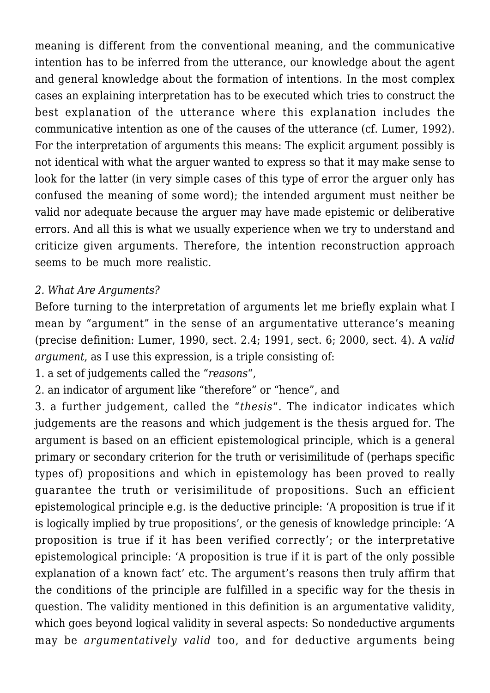meaning is different from the conventional meaning, and the communicative intention has to be inferred from the utterance, our knowledge about the agent and general knowledge about the formation of intentions. In the most complex cases an explaining interpretation has to be executed which tries to construct the best explanation of the utterance where this explanation includes the communicative intention as one of the causes of the utterance (cf. Lumer, 1992). For the interpretation of arguments this means: The explicit argument possibly is not identical with what the arguer wanted to express so that it may make sense to look for the latter (in very simple cases of this type of error the arguer only has confused the meaning of some word); the intended argument must neither be valid nor adequate because the arguer may have made epistemic or deliberative errors. And all this is what we usually experience when we try to understand and criticize given arguments. Therefore, the intention reconstruction approach seems to be much more realistic.

#### *2. What Are Arguments?*

Before turning to the interpretation of arguments let me briefly explain what I mean by "argument" in the sense of an argumentative utterance's meaning (precise definition: Lumer, 1990, sect. 2.4; 1991, sect. 6; 2000, sect. 4). A *valid argument*, as I use this expression, is a triple consisting of:

1. a set of judgements called the "*reasons*",

2. an indicator of argument like "therefore" or "hence", and

3. a further judgement, called the "*thesis*". The indicator indicates which judgements are the reasons and which judgement is the thesis argued for. The argument is based on an efficient epistemological principle, which is a general primary or secondary criterion for the truth or verisimilitude of (perhaps specific types of) propositions and which in epistemology has been proved to really guarantee the truth or verisimilitude of propositions. Such an efficient epistemological principle e.g. is the deductive principle: 'A proposition is true if it is logically implied by true propositions', or the genesis of knowledge principle: 'A proposition is true if it has been verified correctly'; or the interpretative epistemological principle: 'A proposition is true if it is part of the only possible explanation of a known fact' etc. The argument's reasons then truly affirm that the conditions of the principle are fulfilled in a specific way for the thesis in question. The validity mentioned in this definition is an argumentative validity, which goes beyond logical validity in several aspects: So nondeductive arguments may be *argumentatively valid* too, and for deductive arguments being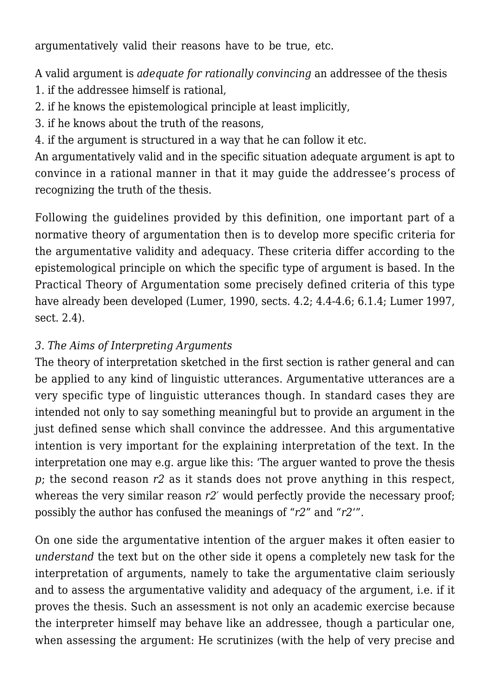argumentatively valid their reasons have to be true, etc.

A valid argument is *adequate for rationally convincing* an addressee of the thesis

- 1. if the addressee himself is rational,
- 2. if he knows the epistemological principle at least implicitly,
- 3. if he knows about the truth of the reasons,

4. if the argument is structured in a way that he can follow it etc.

An argumentatively valid and in the specific situation adequate argument is apt to convince in a rational manner in that it may guide the addressee's process of recognizing the truth of the thesis.

Following the guidelines provided by this definition, one important part of a normative theory of argumentation then is to develop more specific criteria for the argumentative validity and adequacy. These criteria differ according to the epistemological principle on which the specific type of argument is based. In the Practical Theory of Argumentation some precisely defined criteria of this type have already been developed (Lumer, 1990, sects. 4.2; 4.4-4.6; 6.1.4; Lumer 1997, sect. 2.4).

## *3. The Aims of Interpreting Arguments*

The theory of interpretation sketched in the first section is rather general and can be applied to any kind of linguistic utterances. Argumentative utterances are a very specific type of linguistic utterances though. In standard cases they are intended not only to say something meaningful but to provide an argument in the just defined sense which shall convince the addressee. And this argumentative intention is very important for the explaining interpretation of the text. In the interpretation one may e.g. argue like this: 'The arguer wanted to prove the thesis *p*; the second reason *r2* as it stands does not prove anything in this respect, whereas the very similar reason  $r2'$  would perfectly provide the necessary proof; possibly the author has confused the meanings of "*r2*" and "*r2*'".

On one side the argumentative intention of the arguer makes it often easier to *understand* the text but on the other side it opens a completely new task for the interpretation of arguments, namely to take the argumentative claim seriously and to assess the argumentative validity and adequacy of the argument, i.e. if it proves the thesis. Such an assessment is not only an academic exercise because the interpreter himself may behave like an addressee, though a particular one, when assessing the argument: He scrutinizes (with the help of very precise and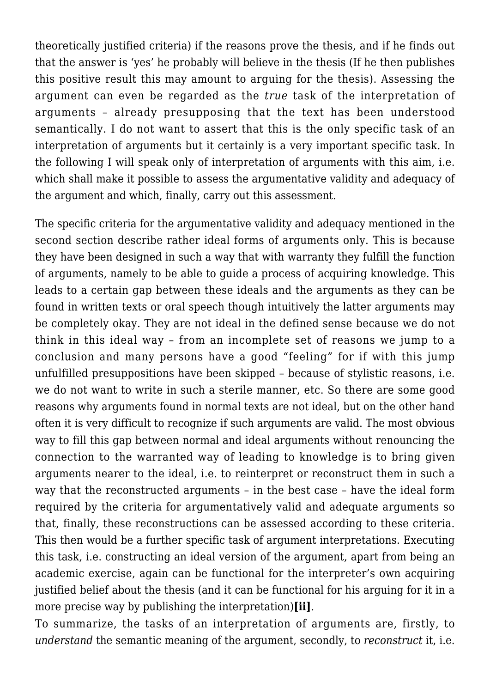theoretically justified criteria) if the reasons prove the thesis, and if he finds out that the answer is 'yes' he probably will believe in the thesis (If he then publishes this positive result this may amount to arguing for the thesis). Assessing the argument can even be regarded as the *true* task of the interpretation of arguments – already presupposing that the text has been understood semantically. I do not want to assert that this is the only specific task of an interpretation of arguments but it certainly is a very important specific task. In the following I will speak only of interpretation of arguments with this aim, i.e. which shall make it possible to assess the argumentative validity and adequacy of the argument and which, finally, carry out this assessment.

The specific criteria for the argumentative validity and adequacy mentioned in the second section describe rather ideal forms of arguments only. This is because they have been designed in such a way that with warranty they fulfill the function of arguments, namely to be able to guide a process of acquiring knowledge. This leads to a certain gap between these ideals and the arguments as they can be found in written texts or oral speech though intuitively the latter arguments may be completely okay. They are not ideal in the defined sense because we do not think in this ideal way – from an incomplete set of reasons we jump to a conclusion and many persons have a good "feeling" for if with this jump unfulfilled presuppositions have been skipped – because of stylistic reasons, i.e. we do not want to write in such a sterile manner, etc. So there are some good reasons why arguments found in normal texts are not ideal, but on the other hand often it is very difficult to recognize if such arguments are valid. The most obvious way to fill this gap between normal and ideal arguments without renouncing the connection to the warranted way of leading to knowledge is to bring given arguments nearer to the ideal, i.e. to reinterpret or reconstruct them in such a way that the reconstructed arguments – in the best case – have the ideal form required by the criteria for argumentatively valid and adequate arguments so that, finally, these reconstructions can be assessed according to these criteria. This then would be a further specific task of argument interpretations. Executing this task, i.e. constructing an ideal version of the argument, apart from being an academic exercise, again can be functional for the interpreter's own acquiring justified belief about the thesis (and it can be functional for his arguing for it in a more precise way by publishing the interpretation)**[ii]**.

To summarize, the tasks of an interpretation of arguments are, firstly, to *understand* the semantic meaning of the argument, secondly, to *reconstruct* it, i.e.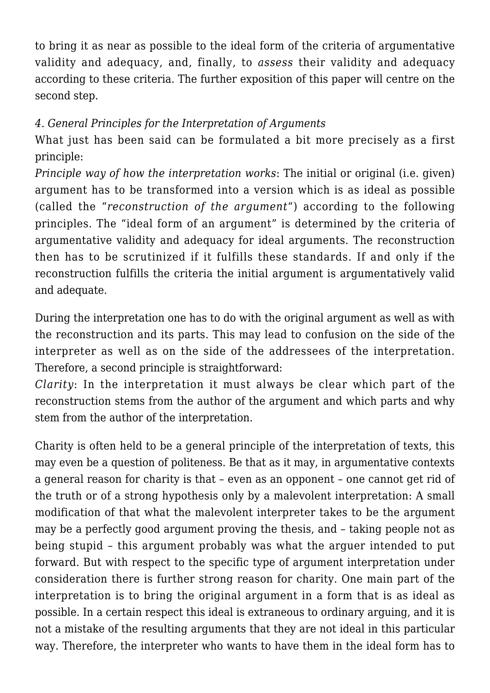to bring it as near as possible to the ideal form of the criteria of argumentative validity and adequacy, and, finally, to *assess* their validity and adequacy according to these criteria. The further exposition of this paper will centre on the second step.

## *4. General Principles for the Interpretation of Arguments*

What just has been said can be formulated a bit more precisely as a first principle:

*Principle way of how the interpretation works*: The initial or original (i.e. given) argument has to be transformed into a version which is as ideal as possible (called the "*reconstruction of the argument*") according to the following principles. The "ideal form of an argument" is determined by the criteria of argumentative validity and adequacy for ideal arguments. The reconstruction then has to be scrutinized if it fulfills these standards. If and only if the reconstruction fulfills the criteria the initial argument is argumentatively valid and adequate.

During the interpretation one has to do with the original argument as well as with the reconstruction and its parts. This may lead to confusion on the side of the interpreter as well as on the side of the addressees of the interpretation. Therefore, a second principle is straightforward:

*Clarity*: In the interpretation it must always be clear which part of the reconstruction stems from the author of the argument and which parts and why stem from the author of the interpretation.

Charity is often held to be a general principle of the interpretation of texts, this may even be a question of politeness. Be that as it may, in argumentative contexts a general reason for charity is that – even as an opponent – one cannot get rid of the truth or of a strong hypothesis only by a malevolent interpretation: A small modification of that what the malevolent interpreter takes to be the argument may be a perfectly good argument proving the thesis, and – taking people not as being stupid – this argument probably was what the arguer intended to put forward. But with respect to the specific type of argument interpretation under consideration there is further strong reason for charity. One main part of the interpretation is to bring the original argument in a form that is as ideal as possible. In a certain respect this ideal is extraneous to ordinary arguing, and it is not a mistake of the resulting arguments that they are not ideal in this particular way. Therefore, the interpreter who wants to have them in the ideal form has to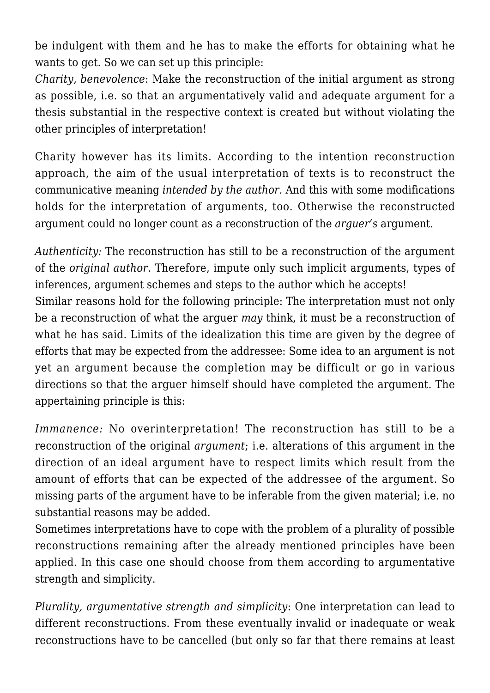be indulgent with them and he has to make the efforts for obtaining what he wants to get. So we can set up this principle:

*Charity, benevolence*: Make the reconstruction of the initial argument as strong as possible, i.e. so that an argumentatively valid and adequate argument for a thesis substantial in the respective context is created but without violating the other principles of interpretation!

Charity however has its limits. According to the intention reconstruction approach, the aim of the usual interpretation of texts is to reconstruct the communicative meaning *intended by the author.* And this with some modifications holds for the interpretation of arguments, too. Otherwise the reconstructed argument could no longer count as a reconstruction of the *arguer's* argument.

*Authenticity:* The reconstruction has still to be a reconstruction of the argument of the *original author.* Therefore, impute only such implicit arguments, types of inferences, argument schemes and steps to the author which he accepts! Similar reasons hold for the following principle: The interpretation must not only be a reconstruction of what the arguer *may* think, it must be a reconstruction of what he has said. Limits of the idealization this time are given by the degree of efforts that may be expected from the addressee: Some idea to an argument is not yet an argument because the completion may be difficult or go in various directions so that the arguer himself should have completed the argument. The appertaining principle is this:

*Immanence:* No overinterpretation! The reconstruction has still to be a reconstruction of the original *argument*; i.e. alterations of this argument in the direction of an ideal argument have to respect limits which result from the amount of efforts that can be expected of the addressee of the argument. So missing parts of the argument have to be inferable from the given material; i.e. no substantial reasons may be added.

Sometimes interpretations have to cope with the problem of a plurality of possible reconstructions remaining after the already mentioned principles have been applied. In this case one should choose from them according to argumentative strength and simplicity.

*Plurality, argumentative strength and simplicity*: One interpretation can lead to different reconstructions. From these eventually invalid or inadequate or weak reconstructions have to be cancelled (but only so far that there remains at least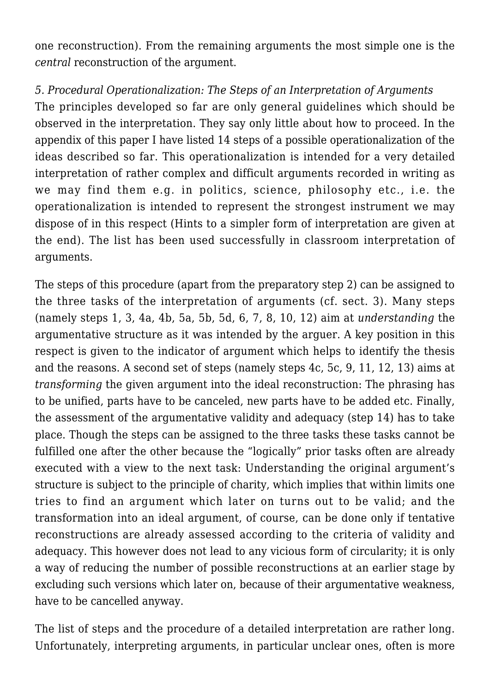one reconstruction). From the remaining arguments the most simple one is the *central* reconstruction of the argument.

#### *5. Procedural Operationalization: The Steps of an Interpretation of Arguments*

The principles developed so far are only general guidelines which should be observed in the interpretation. They say only little about how to proceed. In the appendix of this paper I have listed 14 steps of a possible operationalization of the ideas described so far. This operationalization is intended for a very detailed interpretation of rather complex and difficult arguments recorded in writing as we may find them e.g. in politics, science, philosophy etc., i.e. the operationalization is intended to represent the strongest instrument we may dispose of in this respect (Hints to a simpler form of interpretation are given at the end). The list has been used successfully in classroom interpretation of arguments.

The steps of this procedure (apart from the preparatory step 2) can be assigned to the three tasks of the interpretation of arguments (cf. sect. 3). Many steps (namely steps 1, 3, 4a, 4b, 5a, 5b, 5d, 6, 7, 8, 10, 12) aim at *understanding* the argumentative structure as it was intended by the arguer. A key position in this respect is given to the indicator of argument which helps to identify the thesis and the reasons. A second set of steps (namely steps 4c, 5c, 9, 11, 12, 13) aims at *transforming* the given argument into the ideal reconstruction: The phrasing has to be unified, parts have to be canceled, new parts have to be added etc. Finally, the assessment of the argumentative validity and adequacy (step 14) has to take place. Though the steps can be assigned to the three tasks these tasks cannot be fulfilled one after the other because the "logically" prior tasks often are already executed with a view to the next task: Understanding the original argument's structure is subject to the principle of charity, which implies that within limits one tries to find an argument which later on turns out to be valid; and the transformation into an ideal argument, of course, can be done only if tentative reconstructions are already assessed according to the criteria of validity and adequacy. This however does not lead to any vicious form of circularity; it is only a way of reducing the number of possible reconstructions at an earlier stage by excluding such versions which later on, because of their argumentative weakness, have to be cancelled anyway.

The list of steps and the procedure of a detailed interpretation are rather long. Unfortunately, interpreting arguments, in particular unclear ones, often is more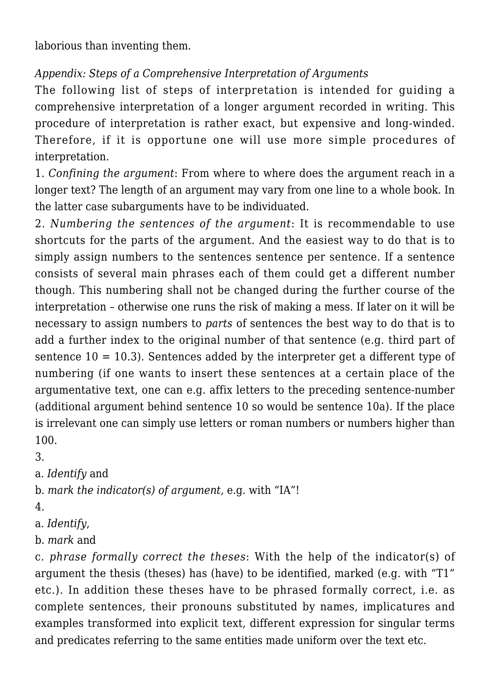laborious than inventing them.

# *Appendix: Steps of a Comprehensive Interpretation of Arguments*

The following list of steps of interpretation is intended for guiding a comprehensive interpretation of a longer argument recorded in writing. This procedure of interpretation is rather exact, but expensive and long-winded. Therefore, if it is opportune one will use more simple procedures of interpretation.

1. *Confining the argument*: From where to where does the argument reach in a longer text? The length of an argument may vary from one line to a whole book. In the latter case subarguments have to be individuated.

2. *Numbering the sentences of the argument*: It is recommendable to use shortcuts for the parts of the argument. And the easiest way to do that is to simply assign numbers to the sentences sentence per sentence. If a sentence consists of several main phrases each of them could get a different number though. This numbering shall not be changed during the further course of the interpretation – otherwise one runs the risk of making a mess. If later on it will be necessary to assign numbers to *parts* of sentences the best way to do that is to add a further index to the original number of that sentence (e.g. third part of sentence  $10 = 10.3$ ). Sentences added by the interpreter get a different type of numbering (if one wants to insert these sentences at a certain place of the argumentative text, one can e.g. affix letters to the preceding sentence-number (additional argument behind sentence 10 so would be sentence 10a). If the place is irrelevant one can simply use letters or roman numbers or numbers higher than 100.

3.

a. *Identify* and

b. *mark the indicator(s) of argument,* e.g. with "IA"!

4.

a. *Identify*,

b. *mark* and

c. *phrase formally correct the theses*: With the help of the indicator(s) of argument the thesis (theses) has (have) to be identified, marked (e.g. with "T1" etc.). In addition these theses have to be phrased formally correct, i.e. as complete sentences, their pronouns substituted by names, implicatures and examples transformed into explicit text, different expression for singular terms and predicates referring to the same entities made uniform over the text etc.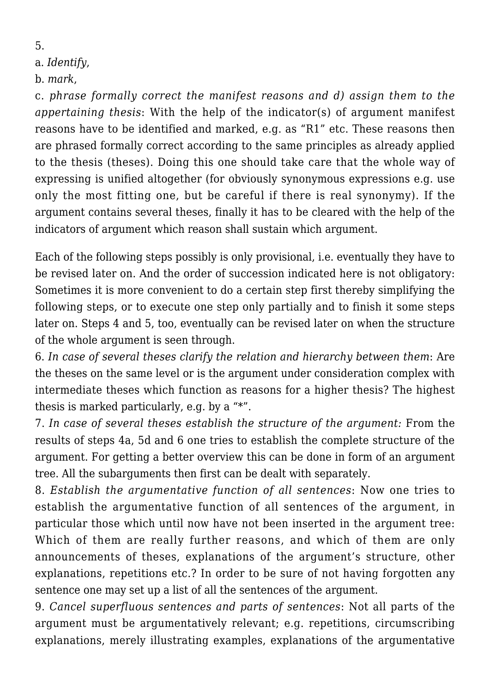5.

#### a. *Identify*,

b. *mark*,

c. *phrase formally correct the manifest reasons and d) assign them to the appertaining thesis*: With the help of the indicator(s) of argument manifest reasons have to be identified and marked, e.g. as "R1" etc. These reasons then are phrased formally correct according to the same principles as already applied to the thesis (theses). Doing this one should take care that the whole way of expressing is unified altogether (for obviously synonymous expressions e.g. use only the most fitting one, but be careful if there is real synonymy). If the argument contains several theses, finally it has to be cleared with the help of the indicators of argument which reason shall sustain which argument.

Each of the following steps possibly is only provisional, i.e. eventually they have to be revised later on. And the order of succession indicated here is not obligatory: Sometimes it is more convenient to do a certain step first thereby simplifying the following steps, or to execute one step only partially and to finish it some steps later on. Steps 4 and 5, too, eventually can be revised later on when the structure of the whole argument is seen through.

6. *In case of several theses clarify the relation and hierarchy between them*: Are the theses on the same level or is the argument under consideration complex with intermediate theses which function as reasons for a higher thesis? The highest thesis is marked particularly, e.g. by a "\*".

7. *In case of several theses establish the structure of the argument:* From the results of steps 4a, 5d and 6 one tries to establish the complete structure of the argument. For getting a better overview this can be done in form of an argument tree. All the subarguments then first can be dealt with separately.

8. *Establish the argumentative function of all sentences*: Now one tries to establish the argumentative function of all sentences of the argument, in particular those which until now have not been inserted in the argument tree: Which of them are really further reasons, and which of them are only announcements of theses, explanations of the argument's structure, other explanations, repetitions etc.? In order to be sure of not having forgotten any sentence one may set up a list of all the sentences of the argument.

9. *Cancel superfluous sentences and parts of sentences*: Not all parts of the argument must be argumentatively relevant; e.g. repetitions, circumscribing explanations, merely illustrating examples, explanations of the argumentative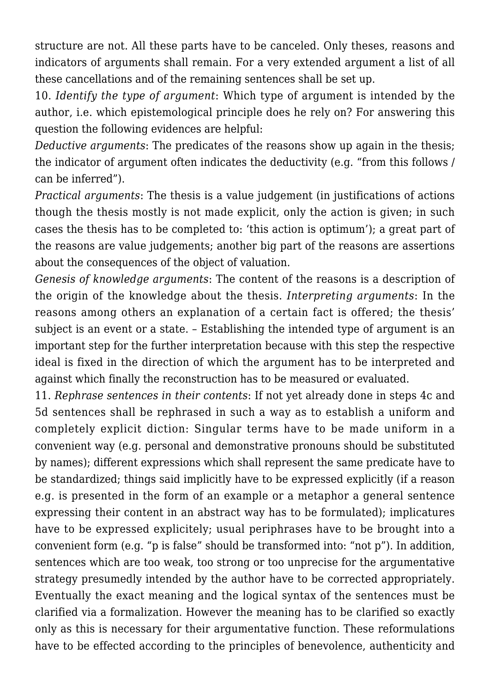structure are not. All these parts have to be canceled. Only theses, reasons and indicators of arguments shall remain. For a very extended argument a list of all these cancellations and of the remaining sentences shall be set up.

10. *Identify the type of argument*: Which type of argument is intended by the author, i.e. which epistemological principle does he rely on? For answering this question the following evidences are helpful:

*Deductive arguments*: The predicates of the reasons show up again in the thesis; the indicator of argument often indicates the deductivity (e.g. "from this follows / can be inferred").

*Practical arguments*: The thesis is a value judgement (in justifications of actions though the thesis mostly is not made explicit, only the action is given; in such cases the thesis has to be completed to: 'this action is optimum'); a great part of the reasons are value judgements; another big part of the reasons are assertions about the consequences of the object of valuation.

*Genesis of knowledge arguments*: The content of the reasons is a description of the origin of the knowledge about the thesis. *Interpreting arguments*: In the reasons among others an explanation of a certain fact is offered; the thesis' subject is an event or a state. – Establishing the intended type of argument is an important step for the further interpretation because with this step the respective ideal is fixed in the direction of which the argument has to be interpreted and against which finally the reconstruction has to be measured or evaluated.

11. *Rephrase sentences in their contents*: If not yet already done in steps 4c and 5d sentences shall be rephrased in such a way as to establish a uniform and completely explicit diction: Singular terms have to be made uniform in a convenient way (e.g. personal and demonstrative pronouns should be substituted by names); different expressions which shall represent the same predicate have to be standardized; things said implicitly have to be expressed explicitly (if a reason e.g. is presented in the form of an example or a metaphor a general sentence expressing their content in an abstract way has to be formulated); implicatures have to be expressed explicitely; usual periphrases have to be brought into a convenient form (e.g. "p is false" should be transformed into: "not p"). In addition, sentences which are too weak, too strong or too unprecise for the argumentative strategy presumedly intended by the author have to be corrected appropriately. Eventually the exact meaning and the logical syntax of the sentences must be clarified via a formalization. However the meaning has to be clarified so exactly only as this is necessary for their argumentative function. These reformulations have to be effected according to the principles of benevolence, authenticity and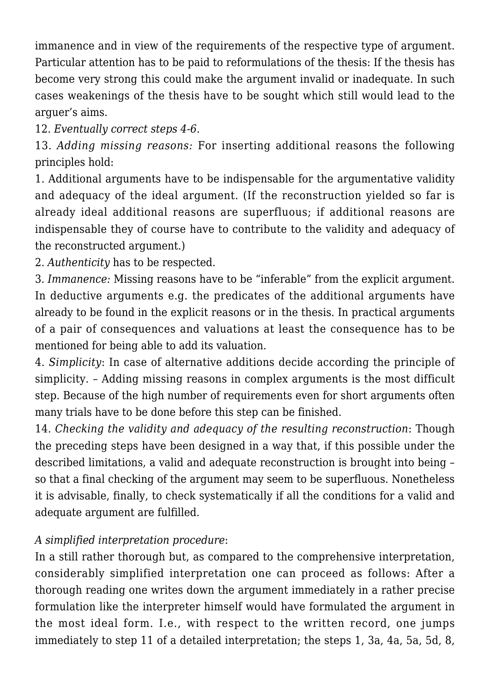immanence and in view of the requirements of the respective type of argument. Particular attention has to be paid to reformulations of the thesis: If the thesis has become very strong this could make the argument invalid or inadequate. In such cases weakenings of the thesis have to be sought which still would lead to the arguer's aims.

12. *Eventually correct steps 4-6*.

13. *Adding missing reasons:* For inserting additional reasons the following principles hold:

1. Additional arguments have to be indispensable for the argumentative validity and adequacy of the ideal argument. (If the reconstruction yielded so far is already ideal additional reasons are superfluous; if additional reasons are indispensable they of course have to contribute to the validity and adequacy of the reconstructed argument.)

2. *Authenticity* has to be respected.

3. *Immanence:* Missing reasons have to be "inferable" from the explicit argument. In deductive arguments e.g. the predicates of the additional arguments have already to be found in the explicit reasons or in the thesis. In practical arguments of a pair of consequences and valuations at least the consequence has to be mentioned for being able to add its valuation.

4. *Simplicity*: In case of alternative additions decide according the principle of simplicity. – Adding missing reasons in complex arguments is the most difficult step. Because of the high number of requirements even for short arguments often many trials have to be done before this step can be finished.

14. *Checking the validity and adequacy of the resulting reconstruction*: Though the preceding steps have been designed in a way that, if this possible under the described limitations, a valid and adequate reconstruction is brought into being – so that a final checking of the argument may seem to be superfluous. Nonetheless it is advisable, finally, to check systematically if all the conditions for a valid and adequate argument are fulfilled.

### *A simplified interpretation procedure*:

In a still rather thorough but, as compared to the comprehensive interpretation, considerably simplified interpretation one can proceed as follows: After a thorough reading one writes down the argument immediately in a rather precise formulation like the interpreter himself would have formulated the argument in the most ideal form. I.e., with respect to the written record, one jumps immediately to step 11 of a detailed interpretation; the steps 1, 3a, 4a, 5a, 5d, 8,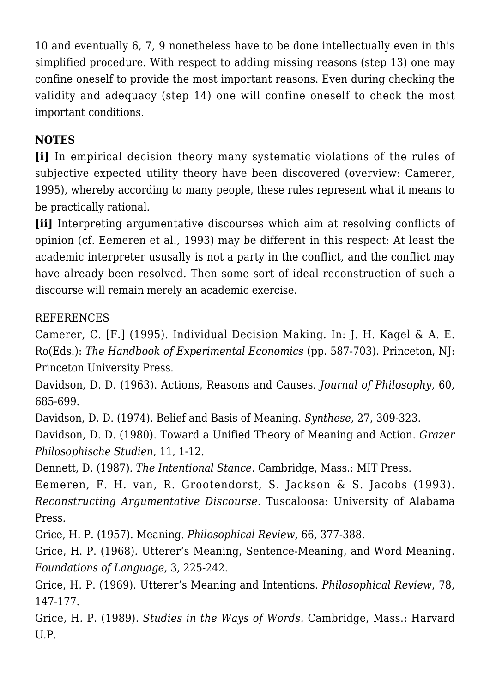10 and eventually 6, 7, 9 nonetheless have to be done intellectually even in this simplified procedure. With respect to adding missing reasons (step 13) one may confine oneself to provide the most important reasons. Even during checking the validity and adequacy (step 14) one will confine oneself to check the most important conditions.

# **NOTES**

**[i]** In empirical decision theory many systematic violations of the rules of subjective expected utility theory have been discovered (overview: Camerer, 1995), whereby according to many people, these rules represent what it means to be practically rational.

**[ii]** Interpreting argumentative discourses which aim at resolving conflicts of opinion (cf. Eemeren et al., 1993) may be different in this respect: At least the academic interpreter ususally is not a party in the conflict, and the conflict may have already been resolved. Then some sort of ideal reconstruction of such a discourse will remain merely an academic exercise.

## REFERENCES

Camerer, C. [F.] (1995). Individual Decision Making. In: J. H. Kagel & A. E. Ro(Eds.): *The Handbook of Experimental Economics* (pp. 587-703). Princeton, NJ: Princeton University Press.

Davidson, D. D. (1963). Actions, Reasons and Causes. *Journal of Philosophy*, 60, 685-699.

Davidson, D. D. (1974). Belief and Basis of Meaning. *Synthese,* 27, 309-323.

Davidson, D. D. (1980). Toward a Unified Theory of Meaning and Action. *Grazer Philosophische Studien*, 11, 1-12.

Dennett, D. (1987). *The Intentional Stance.* Cambridge, Mass.: MIT Press.

Eemeren, F. H. van, R. Grootendorst, S. Jackson & S. Jacobs (1993). *Reconstructing Argumentative Discourse.* Tuscaloosa: University of Alabama Press.

Grice, H. P. (1957). Meaning. *Philosophical Review*, 66, 377-388.

Grice, H. P. (1968). Utterer's Meaning, Sentence-Meaning, and Word Meaning. *Foundations of Language*, 3, 225-242.

Grice, H. P. (1969). Utterer's Meaning and Intentions. *Philosophical Review*, 78, 147-177.

Grice, H. P. (1989). *Studies in the Ways of Words.* Cambridge, Mass.: Harvard U.P.